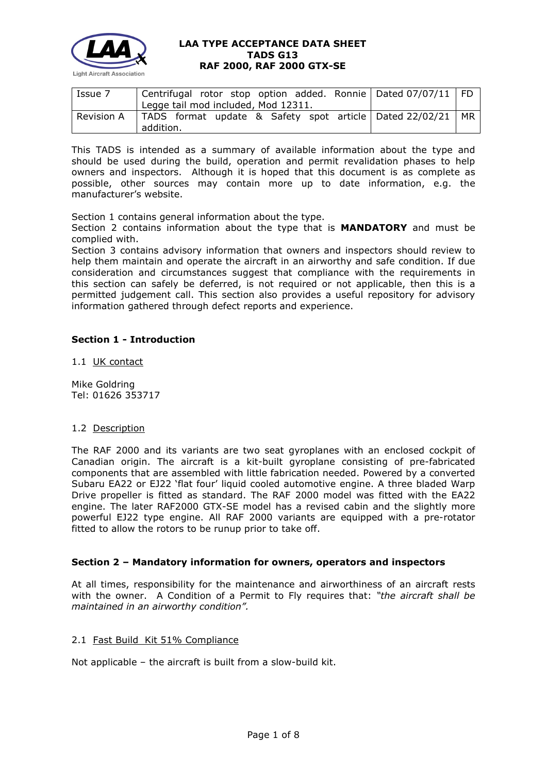

| Issue 7    | Centrifugal rotor stop option added. Ronnie   Dated 07/07/11   FD |  |  |  |  |  |
|------------|-------------------------------------------------------------------|--|--|--|--|--|
|            | Legge tail mod included, Mod 12311.                               |  |  |  |  |  |
| Revision A | TADS format update & Safety spot article   Dated 22/02/21   MR    |  |  |  |  |  |
|            | addition.                                                         |  |  |  |  |  |

This TADS is intended as a summary of available information about the type and should be used during the build, operation and permit revalidation phases to help owners and inspectors. Although it is hoped that this document is as complete as possible, other sources may contain more up to date information, e.g. the manufacturer's website.

Section 1 contains general information about the type.

Section 2 contains information about the type that is **MANDATORY** and must be complied with.

Section 3 contains advisory information that owners and inspectors should review to help them maintain and operate the aircraft in an airworthy and safe condition. If due consideration and circumstances suggest that compliance with the requirements in this section can safely be deferred, is not required or not applicable, then this is a permitted judgement call. This section also provides a useful repository for advisory information gathered through defect reports and experience.

# **Section 1 - Introduction**

1.1 UK contact

Mike Goldring Tel: 01626 353717

## 1.2 Description

The RAF 2000 and its variants are two seat gyroplanes with an enclosed cockpit of Canadian origin. The aircraft is a kit-built gyroplane consisting of pre-fabricated components that are assembled with little fabrication needed. Powered by a converted Subaru EA22 or EJ22 'flat four' liquid cooled automotive engine. A three bladed Warp Drive propeller is fitted as standard. The RAF 2000 model was fitted with the EA22 engine. The later RAF2000 GTX-SE model has a revised cabin and the slightly more powerful EJ22 type engine. All RAF 2000 variants are equipped with a pre-rotator fitted to allow the rotors to be runup prior to take off.

## **Section 2 – Mandatory information for owners, operators and inspectors**

At all times, responsibility for the maintenance and airworthiness of an aircraft rests with the owner. A Condition of a Permit to Fly requires that: *"the aircraft shall be maintained in an airworthy condition".* 

## 2.1 Fast Build Kit 51% Compliance

Not applicable – the aircraft is built from a slow-build kit.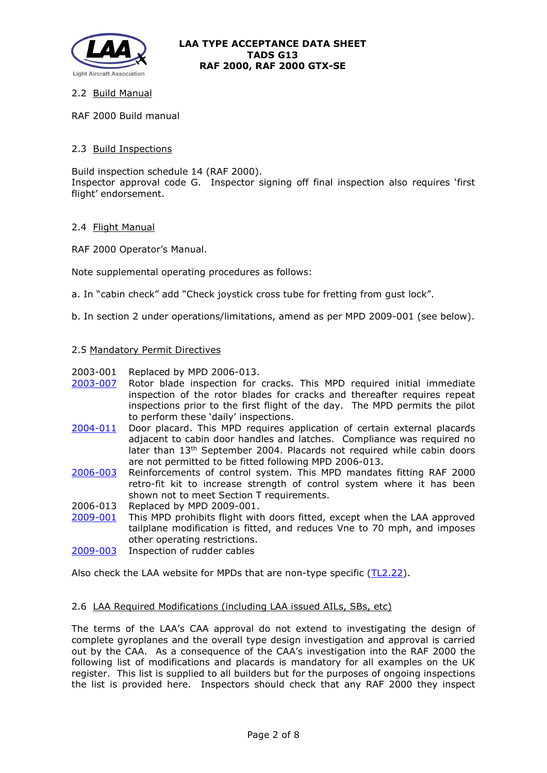

## 2.2 Build Manual

RAF 2000 Build manual

## 2.3 Build Inspections

Build inspection schedule 14 (RAF 2000). Inspector approval code G. Inspector signing off final inspection also requires 'first flight' endorsement.

## 2.4 Flight Manual

RAF 2000 Operator's Manual.

Note supplemental operating procedures as follows:

- a. In "cabin check" add "Check joystick cross tube for fretting from gust lock".
- b. In section 2 under operations/limitations, amend as per MPD 2009-001 (see below).

#### 2.5 Mandatory Permit Directives

- 2003-001 Replaced by MPD 2006-013.
- [2003-007](http://www.lightaircraftassociation.co.uk/engineering/TADs/G13/MPD2003-007.pdf) Rotor blade inspection for cracks. This MPD required initial immediate inspection of the rotor blades for cracks and thereafter requires repeat inspections prior to the first flight of the day. The MPD permits the pilot to perform these 'daily' inspections.
- [2004-011](http://www.lightaircraftassociation.co.uk/engineering/TADs/G13/MPD2004-011.pdf) Door placard. This MPD requires application of certain external placards adjacent to cabin door handles and latches. Compliance was required no later than 13th September 2004. Placards not required while cabin doors are not permitted to be fitted following MPD 2006-013.
- [2006-003](http://www.lightaircraftassociation.co.uk/engineering/TADs/G13/MPD2006-003.pdf) Reinforcements of control system. This MPD mandates fitting RAF 2000 retro-fit kit to increase strength of control system where it has been shown not to meet Section T requirements.
- 2006-013 Replaced by MPD 2009-001.
- [2009-001](http://www.lightaircraftassociation.co.uk/engineering/TADs/G13/MPD2009-001.pdf) This MPD prohibits flight with doors fitted, except when the LAA approved tailplane modification is fitted, and reduces Vne to 70 mph, and imposes other operating restrictions.
- [2009-003](http://www.lightaircraftassociation.co.uk/engineering/TADs/G13/MPD2009-003.pdf) Inspection of rudder cables

Also check the LAA website for MPDs that are non-type specific [\(TL2.22\)](http://www.lightaircraftassociation.co.uk/engineering/TechnicalLeaflets/Operating%20An%20Aircraft/TL%202.22%20non-type%20specific%20MPDs.pdf).

## 2.6 LAA Required Modifications (including LAA issued AILs, SBs, etc)

The terms of the LAA's CAA approval do not extend to investigating the design of complete gyroplanes and the overall type design investigation and approval is carried out by the CAA. As a consequence of the CAA's investigation into the RAF 2000 the following list of modifications and placards is mandatory for all examples on the UK register. This list is supplied to all builders but for the purposes of ongoing inspections the list is provided here. Inspectors should check that any RAF 2000 they inspect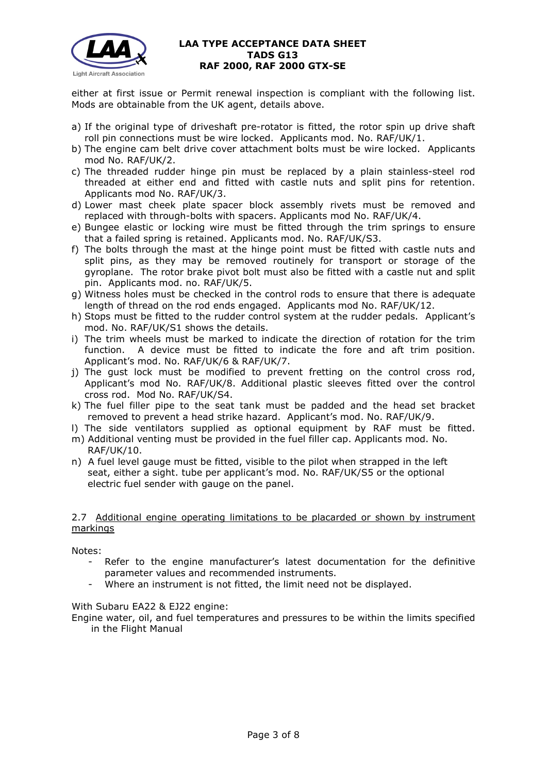

either at first issue or Permit renewal inspection is compliant with the following list. Mods are obtainable from the UK agent, details above.

- a) If the original type of driveshaft pre-rotator is fitted, the rotor spin up drive shaft roll pin connections must be wire locked. Applicants mod. No. RAF/UK/1.
- b) The engine cam belt drive cover attachment bolts must be wire locked. Applicants mod No. RAF/UK/2.
- c) The threaded rudder hinge pin must be replaced by a plain stainless-steel rod threaded at either end and fitted with castle nuts and split pins for retention. Applicants mod No. RAF/UK/3.
- d) Lower mast cheek plate spacer block assembly rivets must be removed and replaced with through-bolts with spacers. Applicants mod No. RAF/UK/4.
- e) Bungee elastic or locking wire must be fitted through the trim springs to ensure that a failed spring is retained. Applicants mod. No. RAF/UK/S3.
- f) The bolts through the mast at the hinge point must be fitted with castle nuts and split pins, as they may be removed routinely for transport or storage of the gyroplane. The rotor brake pivot bolt must also be fitted with a castle nut and split pin. Applicants mod. no. RAF/UK/5.
- g) Witness holes must be checked in the control rods to ensure that there is adequate length of thread on the rod ends engaged. Applicants mod No. RAF/UK/12.
- h) Stops must be fitted to the rudder control system at the rudder pedals. Applicant's mod. No. RAF/UK/S1 shows the details.
- i) The trim wheels must be marked to indicate the direction of rotation for the trim function. A device must be fitted to indicate the fore and aft trim position. Applicant's mod. No. RAF/UK/6 & RAF/UK/7.
- j) The gust lock must be modified to prevent fretting on the control cross rod, Applicant's mod No. RAF/UK/8. Additional plastic sleeves fitted over the control cross rod. Mod No. RAF/UK/S4.
- k) The fuel filler pipe to the seat tank must be padded and the head set bracket removed to prevent a head strike hazard. Applicant's mod. No. RAF/UK/9.
- l) The side ventilators supplied as optional equipment by RAF must be fitted. m) Additional venting must be provided in the fuel filler cap. Applicants mod. No.
- RAF/UK/10.
- n) A fuel level gauge must be fitted, visible to the pilot when strapped in the left seat, either a sight. tube per applicant's mod. No. RAF/UK/S5 or the optional electric fuel sender with gauge on the panel.

## 2.7 Additional engine operating limitations to be placarded or shown by instrument markings

Notes:

- Refer to the engine manufacturer's latest documentation for the definitive parameter values and recommended instruments.
- Where an instrument is not fitted, the limit need not be displayed.

## With Subaru EA22 & EJ22 engine:

Engine water, oil, and fuel temperatures and pressures to be within the limits specified in the Flight Manual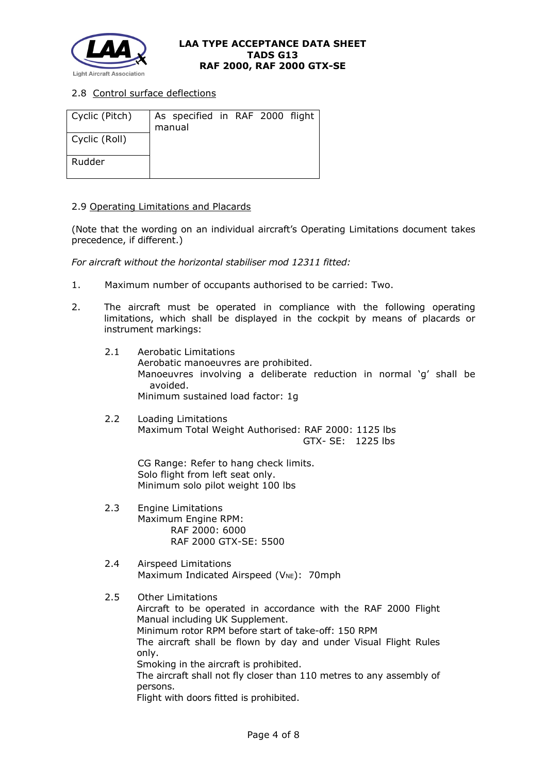

# 2.8 Control surface deflections

| Cyclic (Pitch) | As specified in RAF 2000 flight<br>manual |  |  |
|----------------|-------------------------------------------|--|--|
| Cyclic (Roll)  |                                           |  |  |
| Rudder         |                                           |  |  |

## 2.9 Operating Limitations and Placards

(Note that the wording on an individual aircraft's Operating Limitations document takes precedence, if different.)

*For aircraft without the horizontal stabiliser mod 12311 fitted:*

- 1. Maximum number of occupants authorised to be carried: Two.
- 2. The aircraft must be operated in compliance with the following operating limitations, which shall be displayed in the cockpit by means of placards or instrument markings:
	- 2.1 Aerobatic Limitations Aerobatic manoeuvres are prohibited. Manoeuvres involving a deliberate reduction in normal 'g' shall be avoided. Minimum sustained load factor: 1g
	- 2.2 Loading Limitations Maximum Total Weight Authorised: RAF 2000: 1125 lbs GTX- SE: 1225 lbs

CG Range: Refer to hang check limits. Solo flight from left seat only. Minimum solo pilot weight 100 lbs

- 2.3 Engine Limitations Maximum Engine RPM: RAF 2000: 6000 RAF 2000 GTX-SE: 5500
- 2.4 Airspeed Limitations Maximum Indicated Airspeed (V<sub>NE</sub>): 70mph

## 2.5 Other Limitations

Aircraft to be operated in accordance with the RAF 2000 Flight Manual including UK Supplement. Minimum rotor RPM before start of take-off: 150 RPM The aircraft shall be flown by day and under Visual Flight Rules only. Smoking in the aircraft is prohibited. The aircraft shall not fly closer than 110 metres to any assembly of persons. Flight with doors fitted is prohibited.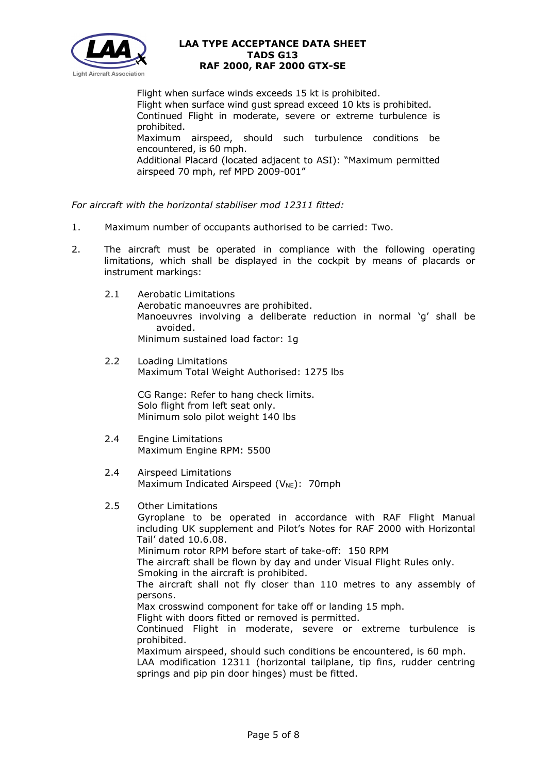

Flight when surface winds exceeds 15 kt is prohibited. Flight when surface wind gust spread exceed 10 kts is prohibited. Continued Flight in moderate, severe or extreme turbulence is prohibited. Maximum airspeed, should such turbulence conditions be encountered, is 60 mph. Additional Placard (located adjacent to ASI): "Maximum permitted airspeed 70 mph, ref MPD 2009-001"

*For aircraft with the horizontal stabiliser mod 12311 fitted:*

- 1. Maximum number of occupants authorised to be carried: Two.
- 2. The aircraft must be operated in compliance with the following operating limitations, which shall be displayed in the cockpit by means of placards or instrument markings:
	- 2.1 Aerobatic Limitations Aerobatic manoeuvres are prohibited. Manoeuvres involving a deliberate reduction in normal 'g' shall be avoided. Minimum sustained load factor: 1g
	- 2.2 Loading Limitations Maximum Total Weight Authorised: 1275 lbs

CG Range: Refer to hang check limits. Solo flight from left seat only. Minimum solo pilot weight 140 lbs

- 2.4 Engine Limitations Maximum Engine RPM: 5500
- 2.4 Airspeed Limitations Maximum Indicated Airspeed (V<sub>NE</sub>): 70mph

## 2.5 Other Limitations

Gyroplane to be operated in accordance with RAF Flight Manual including UK supplement and Pilot's Notes for RAF 2000 with Horizontal Tail' dated 10.6.08.

Minimum rotor RPM before start of take-off: 150 RPM

The aircraft shall be flown by day and under Visual Flight Rules only.

Smoking in the aircraft is prohibited.

The aircraft shall not fly closer than 110 metres to any assembly of persons.

Max crosswind component for take off or landing 15 mph.

Flight with doors fitted or removed is permitted.

Continued Flight in moderate, severe or extreme turbulence is prohibited.

Maximum airspeed, should such conditions be encountered, is 60 mph.

LAA modification 12311 (horizontal tailplane, tip fins, rudder centring springs and pip pin door hinges) must be fitted.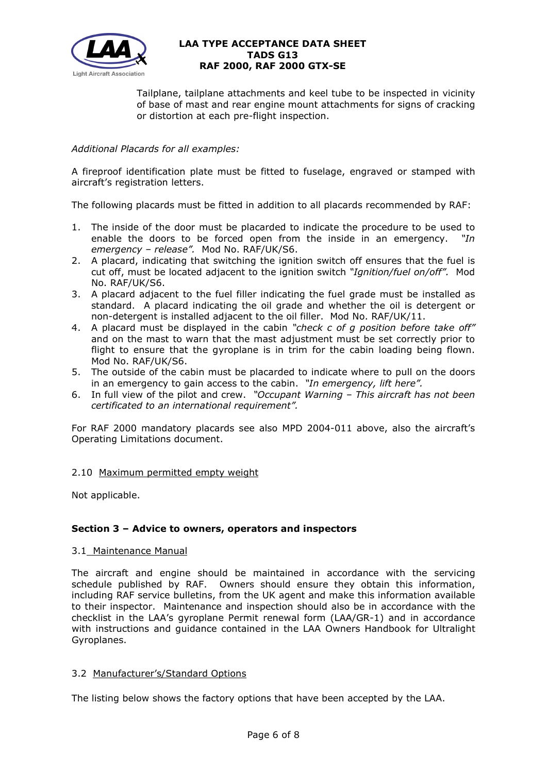

Tailplane, tailplane attachments and keel tube to be inspected in vicinity of base of mast and rear engine mount attachments for signs of cracking or distortion at each pre-flight inspection.

# *Additional Placards for all examples:*

A fireproof identification plate must be fitted to fuselage, engraved or stamped with aircraft's registration letters.

The following placards must be fitted in addition to all placards recommended by RAF:

- 1. The inside of the door must be placarded to indicate the procedure to be used to enable the doors to be forced open from the inside in an emergency. *"In emergency – release".* Mod No. RAF/UK/S6.
- 2. A placard, indicating that switching the ignition switch off ensures that the fuel is cut off, must be located adjacent to the ignition switch *"Ignition/fuel on/off".* Mod No. RAF/UK/S6.
- 3. A placard adjacent to the fuel filler indicating the fuel grade must be installed as standard. A placard indicating the oil grade and whether the oil is detergent or non-detergent is installed adjacent to the oil filler. Mod No. RAF/UK/11.
- 4. A placard must be displayed in the cabin *"check c of g position before take off"* and on the mast to warn that the mast adjustment must be set correctly prior to flight to ensure that the gyroplane is in trim for the cabin loading being flown. Mod No. RAF/UK/S6.
- 5. The outside of the cabin must be placarded to indicate where to pull on the doors in an emergency to gain access to the cabin. *"In emergency, lift here".*
- 6. In full view of the pilot and crew. *"Occupant Warning – This aircraft has not been certificated to an international requirement".*

For RAF 2000 mandatory placards see also MPD 2004-011 above, also the aircraft's Operating Limitations document.

## 2.10 Maximum permitted empty weight

Not applicable.

## **Section 3 – Advice to owners, operators and inspectors**

## 3.1 Maintenance Manual

The aircraft and engine should be maintained in accordance with the servicing schedule published by RAF. Owners should ensure they obtain this information, including RAF service bulletins, from the UK agent and make this information available to their inspector. Maintenance and inspection should also be in accordance with the checklist in the LAA's gyroplane Permit renewal form (LAA/GR-1) and in accordance with instructions and guidance contained in the LAA Owners Handbook for Ultralight Gyroplanes.

## 3.2 Manufacturer's/Standard Options

The listing below shows the factory options that have been accepted by the LAA.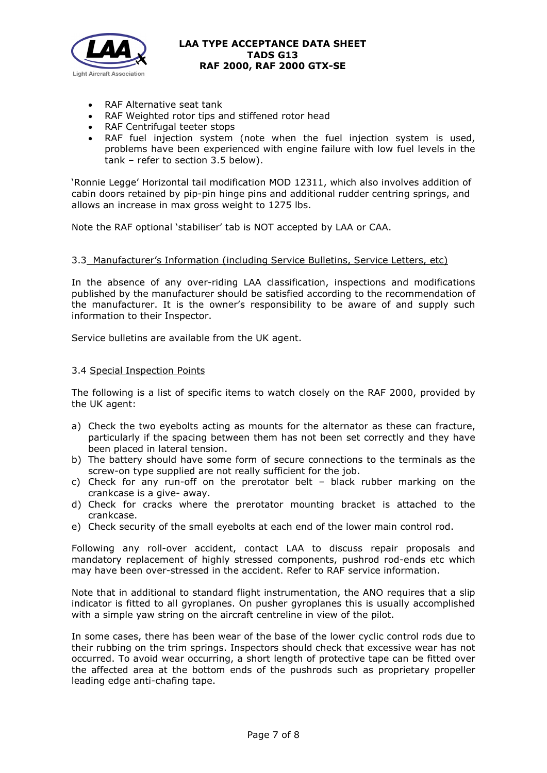

- RAF Alternative seat tank
- RAF Weighted rotor tips and stiffened rotor head
- RAF Centrifugal teeter stops
- RAF fuel injection system (note when the fuel injection system is used, problems have been experienced with engine failure with low fuel levels in the tank – refer to section 3.5 below).

'Ronnie Legge' Horizontal tail modification MOD 12311, which also involves addition of cabin doors retained by pip-pin hinge pins and additional rudder centring springs, and allows an increase in max gross weight to 1275 lbs.

Note the RAF optional 'stabiliser' tab is NOT accepted by LAA or CAA.

## 3.3 Manufacturer's Information (including Service Bulletins, Service Letters, etc)

In the absence of any over-riding LAA classification, inspections and modifications published by the manufacturer should be satisfied according to the recommendation of the manufacturer. It is the owner's responsibility to be aware of and supply such information to their Inspector.

Service bulletins are available from the UK agent.

## 3.4 Special Inspection Points

The following is a list of specific items to watch closely on the RAF 2000, provided by the UK agent:

- a) Check the two eyebolts acting as mounts for the alternator as these can fracture, particularly if the spacing between them has not been set correctly and they have been placed in lateral tension.
- b) The battery should have some form of secure connections to the terminals as the screw-on type supplied are not really sufficient for the job.
- c) Check for any run-off on the prerotator belt black rubber marking on the crankcase is a give- away.
- d) Check for cracks where the prerotator mounting bracket is attached to the crankcase.
- e) Check security of the small eyebolts at each end of the lower main control rod.

Following any roll-over accident, contact LAA to discuss repair proposals and mandatory replacement of highly stressed components, pushrod rod-ends etc which may have been over-stressed in the accident. Refer to RAF service information.

Note that in additional to standard flight instrumentation, the ANO requires that a slip indicator is fitted to all gyroplanes. On pusher gyroplanes this is usually accomplished with a simple yaw string on the aircraft centreline in view of the pilot.

In some cases, there has been wear of the base of the lower cyclic control rods due to their rubbing on the trim springs. Inspectors should check that excessive wear has not occurred. To avoid wear occurring, a short length of protective tape can be fitted over the affected area at the bottom ends of the pushrods such as proprietary propeller leading edge anti-chafing tape.